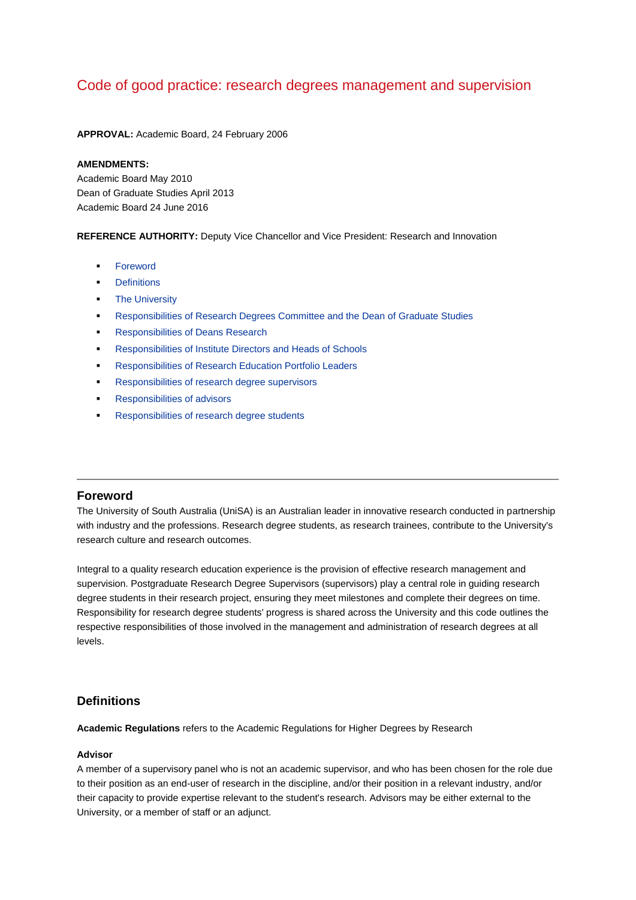# Code of good practice: research degrees management and supervision

**APPROVAL:** Academic Board, 24 February 2006

#### **AMENDMENTS:**

Academic Board May 2010 Dean of Graduate Studies April 2013 Academic Board 24 June 2016

**REFERENCE AUTHORITY:** Deputy Vice Chancellor and Vice President: Research and Innovation

- **[Foreword](http://www.newdev.unisa.edu.au/policies/codes/goodprac/mansupvising.asp#foreword)**
- **[Definitions](http://www.newdev.unisa.edu.au/policies/codes/goodprac/mansupvising.asp#definitions)**
- [The University](http://www.newdev.unisa.edu.au/policies/codes/goodprac/mansupvising.asp#1.)
- [Responsibilities of Research Degrees Committee and the Dean of Graduate Studies](http://www.newdev.unisa.edu.au/policies/codes/goodprac/mansupvising.asp#dgs)
- **[Responsibilities of Deans Research](http://www.newdev.unisa.edu.au/policies/codes/goodprac/mansupvising.asp#deans)**
- [Responsibilities of Institute Directors and Heads of Schools](http://www.newdev.unisa.edu.au/policies/codes/goodprac/mansupvising.asp#hos)
- [Responsibilities of Research Education Portfolio Leaders](http://www.newdev.unisa.edu.au/policies/codes/goodprac/mansupvising.asp#repl)
- [Responsibilities of research degree supervisors](http://www.newdev.unisa.edu.au/policies/codes/goodprac/mansupvising.asp#super)
- [Responsibilities of advisors](http://www.newdev.unisa.edu.au/policies/codes/goodprac/mansupvising.asp#7._Responsibilities_of_advisors)
- **[Responsibilities of research degree students](http://www.newdev.unisa.edu.au/policies/codes/goodprac/mansupvising.asp#students)**

# **Foreword**

The University of South Australia (UniSA) is an Australian leader in innovative research conducted in partnership with industry and the professions. Research degree students, as research trainees, contribute to the University's research culture and research outcomes.

Integral to a quality research education experience is the provision of effective research management and supervision. Postgraduate Research Degree Supervisors (supervisors) play a central role in guiding research degree students in their research project, ensuring they meet milestones and complete their degrees on time. Responsibility for research degree students' progress is shared across the University and this code outlines the respective responsibilities of those involved in the management and administration of research degrees at all levels.

# **Definitions**

**Academic Regulations** refers to the Academic Regulations for Higher Degrees by Research

#### **Advisor**

A member of a supervisory panel who is not an academic supervisor, and who has been chosen for the role due to their position as an end-user of research in the discipline, and/or their position in a relevant industry, and/or their capacity to provide expertise relevant to the student's research. Advisors may be either external to the University, or a member of staff or an adjunct.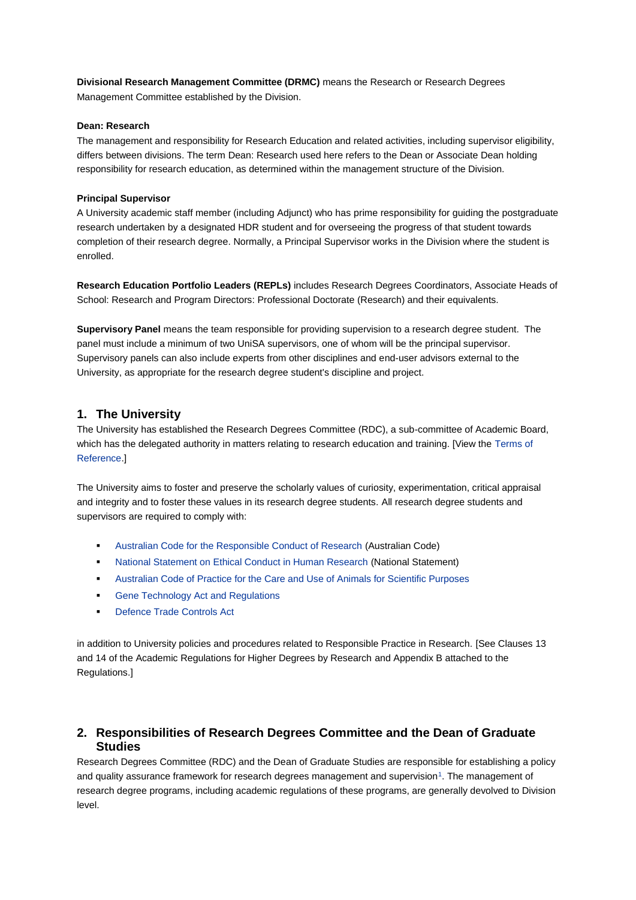**Divisional Research Management Committee (DRMC)** means the Research or Research Degrees Management Committee established by the Division.

#### **Dean: Research**

The management and responsibility for Research Education and related activities, including supervisor eligibility, differs between divisions. The term Dean: Research used here refers to the Dean or Associate Dean holding responsibility for research education, as determined within the management structure of the Division.

#### **Principal Supervisor**

A University academic staff member (including Adjunct) who has prime responsibility for guiding the postgraduate research undertaken by a designated HDR student and for overseeing the progress of that student towards completion of their research degree. Normally, a Principal Supervisor works in the Division where the student is enrolled.

**Research Education Portfolio Leaders (REPLs)** includes Research Degrees Coordinators, Associate Heads of School: Research and Program Directors: Professional Doctorate (Research) and their equivalents.

**Supervisory Panel** means the team responsible for providing supervision to a research degree student. The panel must include a minimum of two UniSA supervisors, one of whom will be the principal supervisor. Supervisory panels can also include experts from other disciplines and end-user advisors external to the University, as appropriate for the research degree student's discipline and project.

# **1. The University**

The University has established the Research Degrees Committee (RDC), a sub-committee of Academic Board, which has the delegated authority in matters relating to research education and training. [View the [Terms of](http://w3.unisa.edu.au/unicouncil/terms_ref/default.asp#rdc)  [Reference.](http://w3.unisa.edu.au/unicouncil/terms_ref/default.asp#rdc)]

The University aims to foster and preserve the scholarly values of curiosity, experimentation, critical appraisal and integrity and to foster these values in its research degree students. All research degree students and supervisors are required to comply with:

- [Australian Code for the Responsible Conduct of Research](http://www.nhmrc.gov.au/guidelines/publications/r39) (Australian Code)
- [National Statement on Ethical Conduct in Human Research](http://www.nhmrc.gov.au/guidelines/publications/e72) (National Statement)
- [Australian Code of Practice for the Care and Use of Animals for Scientific Purposes](http://www.nhmrc.gov.au/_files_nhmrc/file/publications/synopses/ea16.pdf)
- [Gene Technology Act and Regulations](http://www.ogtr.gov.au/internet/ogtr/publishing.nsf/content/legislation-2)
- [Defence Trade Controls Act](http://www.defence.gov.au/deco/DTC.asp)

in addition to University policies and procedures related to Responsible Practice in Research. [See Clauses 13 and 14 of the Academic Regulations for Higher Degrees by Research and Appendix B attached to the Regulations.]

# **2. Responsibilities of Research Degrees Committee and the Dean of Graduate Studies**

Research Degrees Committee (RDC) and the Dean of Graduate Studies are responsible for establishing a policy and quality assurance framework for research degrees management and supervision<sup>1</sup>[.](http://www.newdev.unisa.edu.au/policies/codes/goodprac/mansupvising.asp#1footer) The management of research degree programs, including academic regulations of these programs, are generally devolved to Division level.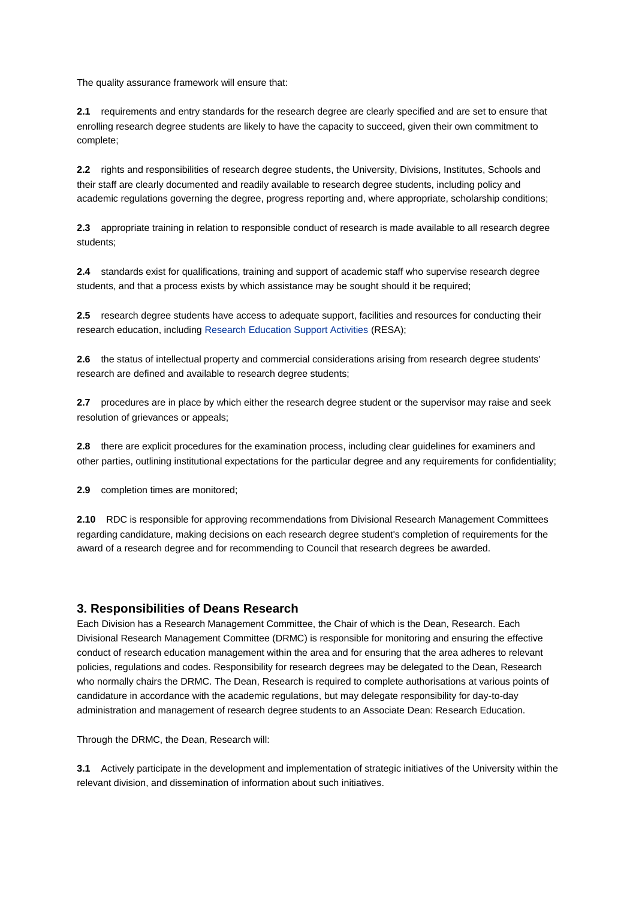The quality assurance framework will ensure that:

**2.1** requirements and entry standards for the research degree are clearly specified and are set to ensure that enrolling research degree students are likely to have the capacity to succeed, given their own commitment to complete;

**2.2** rights and responsibilities of research degree students, the University, Divisions, Institutes, Schools and their staff are clearly documented and readily available to research degree students, including policy and academic regulations governing the degree, progress reporting and, where appropriate, scholarship conditions;

**2.3** appropriate training in relation to responsible conduct of research is made available to all research degree students;

**2.4** standards exist for qualifications, training and support of academic staff who supervise research degree students, and that a process exists by which assistance may be sought should it be required;

**2.5** research degree students have access to adequate support, facilities and resources for conducting their research education, includin[g Research Education Support Activities](http://w3.unisa.edu.au/researchstudents/workshops/) (RESA);

**2.6** the status of intellectual property and commercial considerations arising from research degree students' research are defined and available to research degree students;

**2.7** procedures are in place by which either the research degree student or the supervisor may raise and seek resolution of grievances or appeals;

**2.8** there are explicit procedures for the examination process, including clear guidelines for examiners and other parties, outlining institutional expectations for the particular degree and any requirements for confidentiality;

**2.9** completion times are monitored;

**2.10** RDC is responsible for approving recommendations from Divisional Research Management Committees regarding candidature, making decisions on each research degree student's completion of requirements for the award of a research degree and for recommending to Council that research degrees be awarded.

# **3. Responsibilities of Deans Research**

Each Division has a Research Management Committee, the Chair of which is the Dean, Research. Each Divisional Research Management Committee (DRMC) is responsible for monitoring and ensuring the effective conduct of research education management within the area and for ensuring that the area adheres to relevant policies, regulations and codes. Responsibility for research degrees may be delegated to the Dean, Research who normally chairs the DRMC. The Dean, Research is required to complete authorisations at various points of candidature in accordance with the academic regulations, but may delegate responsibility for day-to-day administration and management of research degree students to an Associate Dean: Research Education.

Through the DRMC, the Dean, Research will:

**3.1** Actively participate in the development and implementation of strategic initiatives of the University within the relevant division, and dissemination of information about such initiatives.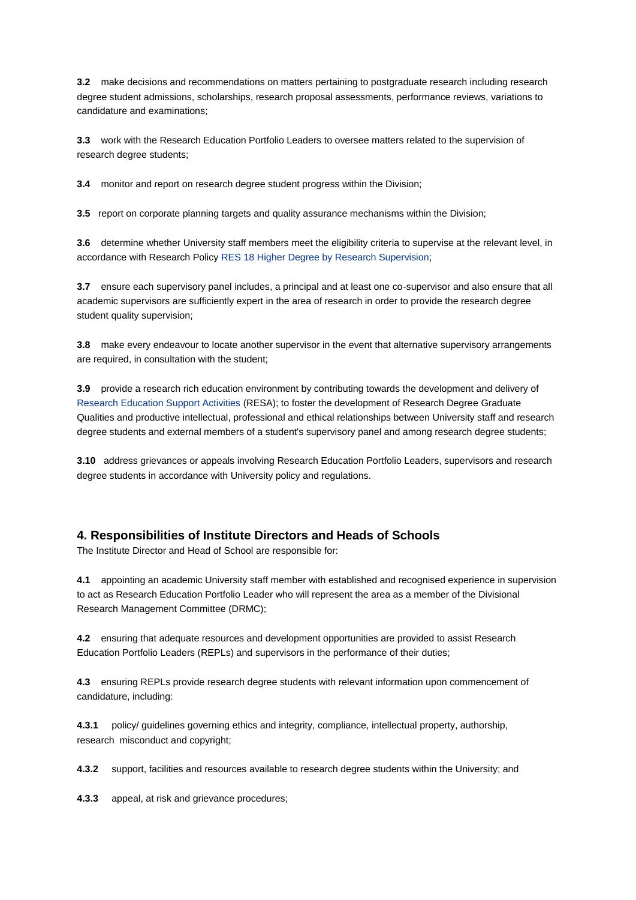**3.2** make decisions and recommendations on matters pertaining to postgraduate research including research degree student admissions, scholarships, research proposal assessments, performance reviews, variations to candidature and examinations;

**3.3** work with the Research Education Portfolio Leaders to oversee matters related to the supervision of research degree students;

**3.4** monitor and report on research degree student progress within the Division;

**3.5** report on corporate planning targets and quality assurance mechanisms within the Division;

**3.6** determine whether University staff members meet the eligibility criteria to supervise at the relevant level, in accordance with Research Policy [RES 18 Higher Degree by Research Supervision;](http://www.newdev.unisa.edu.au/policies/policies/resrch/res18.asp)

**3.7** ensure each supervisory panel includes, a principal and at least one co-supervisor and also ensure that all academic supervisors are sufficiently expert in the area of research in order to provide the research degree student quality supervision;

**3.8** make every endeavour to locate another supervisor in the event that alternative supervisory arrangements are required, in consultation with the student;

**3.9** provide a research rich education environment by contributing towards the development and delivery of [Research Education Support Activities](http://w3.unisa.edu.au/researchstudents/workshops/) (RESA); to foster the development of Research Degree Graduate Qualities and productive intellectual, professional and ethical relationships between University staff and research degree students and external members of a student's supervisory panel and among research degree students;

**3.10** address grievances or appeals involving Research Education Portfolio Leaders, supervisors and research degree students in accordance with University policy and regulations.

# **4. Responsibilities of Institute Directors and Heads of Schools**

The Institute Director and Head of School are responsible for:

**4.1** appointing an academic University staff member with established and recognised experience in supervision to act as Research Education Portfolio Leader who will represent the area as a member of the Divisional Research Management Committee (DRMC);

**4.2** ensuring that adequate resources and development opportunities are provided to assist Research Education Portfolio Leaders (REPLs) and supervisors in the performance of their duties;

**4.3** ensuring REPLs provide research degree students with relevant information upon commencement of candidature, including:

**4.3.1** policy/ guidelines governing ethics and integrity, compliance, intellectual property, authorship, research misconduct and copyright;

**4.3.2** support, facilities and resources available to research degree students within the University; and

**4.3.3** appeal, at risk and grievance procedures;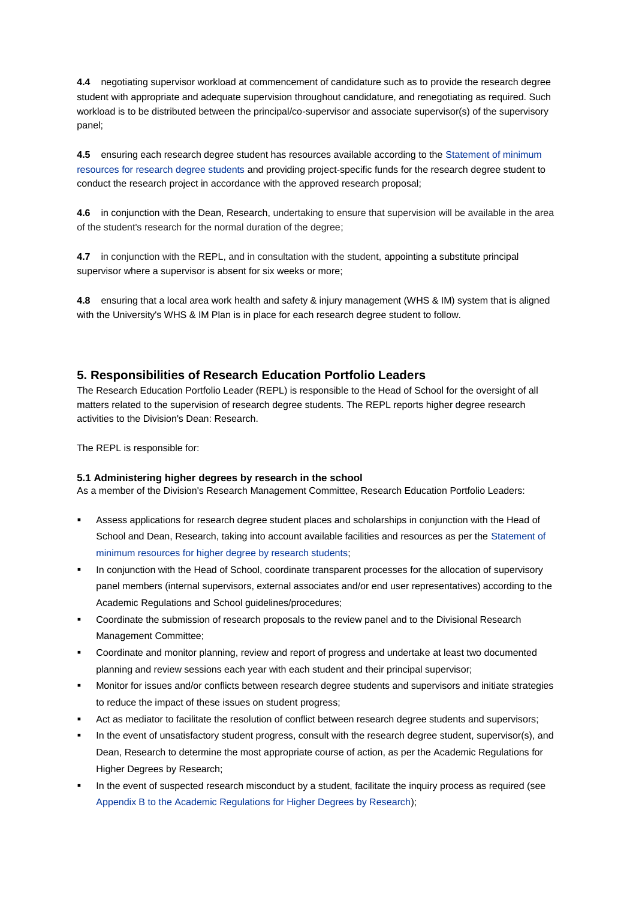**4.4** negotiating supervisor workload at commencement of candidature such as to provide the research degree student with appropriate and adequate supervision throughout candidature, and renegotiating as required. Such workload is to be distributed between the principal/co-supervisor and associate supervisor(s) of the supervisory panel;

**4.5** ensuring each research degree student has resources available according to the [Statement of minimum](http://www.unisa.edu.au/policies/policies/resrch/res10-regs.asp#Appendix3)  [resources for research degree students](http://www.unisa.edu.au/policies/policies/resrch/res10-regs.asp#Appendix3) and providing project-specific funds for the research degree student to conduct the research project in accordance with the approved research proposal;

**4.6** in conjunction with the Dean, Research, undertaking to ensure that supervision will be available in the area of the student's research for the normal duration of the degree;

**4.7** in conjunction with the REPL, and in consultation with the student, appointing a substitute principal supervisor where a supervisor is absent for six weeks or more;

**4.8** ensuring that a local area work health and safety & injury management (WHS & IM) system that is aligned with the University's WHS & IM Plan is in place for each research degree student to follow.

### **5. Responsibilities of Research Education Portfolio Leaders**

The Research Education Portfolio Leader (REPL) is responsible to the Head of School for the oversight of all matters related to the supervision of research degree students. The REPL reports higher degree research activities to the Division's Dean: Research.

The REPL is responsible for:

#### **5.1 Administering higher degrees by research in the school**

As a member of the Division's Research Management Committee, Research Education Portfolio Leaders:

- Assess applications for research degree student places and scholarships in conjunction with the Head of School and Dean, Research, taking into account available facilities and resources as per the [Statement of](http://w3.unisa.edu.au/policies/policies/resrch/res10-regs.asp#appA)  [minimum resources for higher degree by research students;](http://w3.unisa.edu.au/policies/policies/resrch/res10-regs.asp#appA)
- In conjunction with the Head of School, coordinate transparent processes for the allocation of supervisory panel members (internal supervisors, external associates and/or end user representatives) according to the Academic Regulations and School guidelines/procedures;
- Coordinate the submission of research proposals to the review panel and to the Divisional Research Management Committee;
- Coordinate and monitor planning, review and report of progress and undertake at least two documented planning and review sessions each year with each student and their principal supervisor;
- Monitor for issues and/or conflicts between research degree students and supervisors and initiate strategies to reduce the impact of these issues on student progress;
- Act as mediator to facilitate the resolution of conflict between research degree students and supervisors;
- In the event of unsatisfactory student progress, consult with the research degree student, supervisor(s), and Dean, Research to determine the most appropriate course of action, as per the Academic Regulations for Higher Degrees by Research;
- In the event of suspected research misconduct by a student, facilitate the inquiry process as required (see [Appendix B to the Academic Regulations for Higher Degrees by Research\)](http://www.newdev.unisa.edu.au/policies/policies/resrch/res10-regs.asp#app6);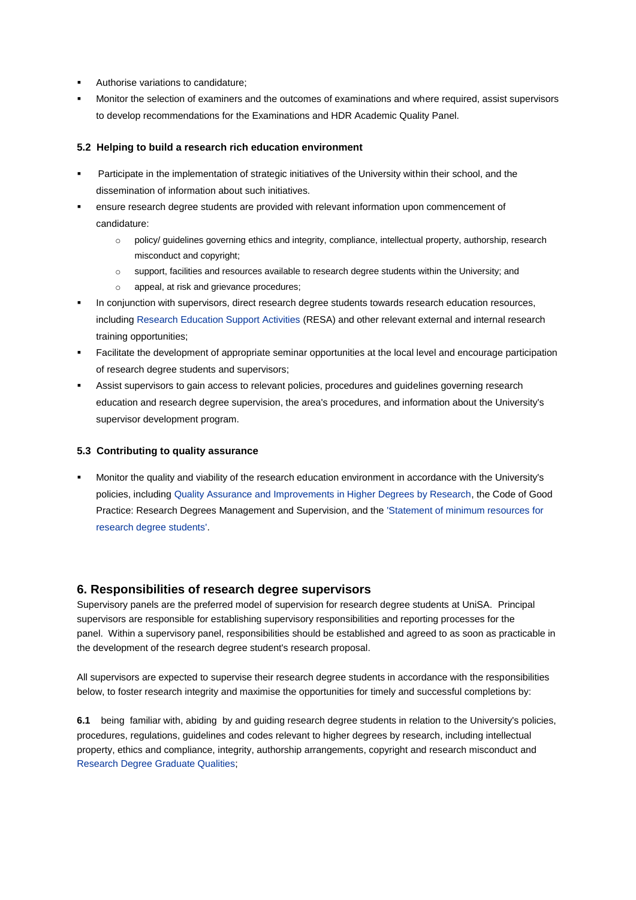- Authorise variations to candidature;
- Monitor the selection of examiners and the outcomes of examinations and where required, assist supervisors to develop recommendations for the Examinations and HDR Academic Quality Panel.

#### **5.2 Helping to build a research rich education environment**

- Participate in the implementation of strategic initiatives of the University within their school, and the dissemination of information about such initiatives.
- ensure research degree students are provided with relevant information upon commencement of candidature:
	- o policy/ guidelines governing ethics and integrity, compliance, intellectual property, authorship, research misconduct and copyright;
	- o support, facilities and resources available to research degree students within the University; and
	- o appeal, at risk and grievance procedures;
- In conjunction with supervisors, direct research degree students towards research education resources, including [Research Education Support Activities](http://w3.unisa.edu.au/researchstudents/workshops/) (RESA) and other relevant external and internal research training opportunities;
- Facilitate the development of appropriate seminar opportunities at the local level and encourage participation of research degree students and supervisors;
- Assist supervisors to gain access to relevant policies, procedures and guidelines governing research education and research degree supervision, the area's procedures, and information about the University's supervisor development program.

#### **5.3 Contributing to quality assurance**

 Monitor the quality and viability of the research education environment in accordance with the University's policies, including [Quality Assurance and Improvements in Higher Degrees by Research,](http://w3.unisa.edu.au/policies/policies/resrch/res15.asp) the Code of Good Practice: Research Degrees Management and Supervision, and the ['Statement of minimum resources for](http://w3.unisa.edu.au/policies/policies/resrch/res10-regs.asp#appA)  [research degree students'.](http://w3.unisa.edu.au/policies/policies/resrch/res10-regs.asp#appA)

# **6. Responsibilities of research degree supervisors**

Supervisory panels are the preferred model of supervision for research degree students at UniSA. Principal supervisors are responsible for establishing supervisory responsibilities and reporting processes for the panel. Within a supervisory panel, responsibilities should be established and agreed to as soon as practicable in the development of the research degree student's research proposal.

All supervisors are expected to supervise their research degree students in accordance with the responsibilities below, to foster research integrity and maximise the opportunities for timely and successful completions by:

**6.1** being familiar with, abiding by and guiding research degree students in relation to the University's policies, procedures, regulations, guidelines and codes relevant to higher degrees by research, including intellectual property, ethics and compliance, integrity, authorship arrangements, copyright and research misconduct and [Research Degree Graduate Qualities;](http://www.unisa.edu.au/researchstudents/responsibilities/rdgq.asp)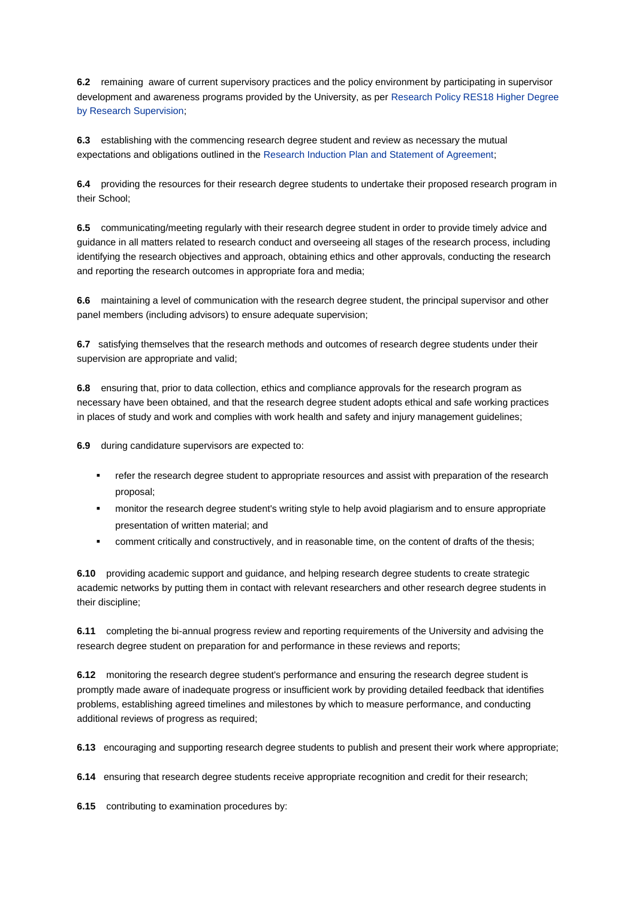**6.2** remaining aware of current supervisory practices and the policy environment by participating in supervisor development and awareness programs provided by the University, as per [Research Policy RES18 Higher Degree](http://w3.unisa.edu.au/policies/policies/resrch/res18.asp)  [by Research Supervision;](http://w3.unisa.edu.au/policies/policies/resrch/res18.asp)

**6.3** establishing with the commencing research degree student and review as necessary the mutual expectations and obligations outlined in the Research Induction Plan and Statement of Agreement;

**6.4** providing the resources for their research degree students to undertake their proposed research program in their School;

**6.5** communicating/meeting regularly with their research degree student in order to provide timely advice and guidance in all matters related to research conduct and overseeing all stages of the research process, including identifying the research objectives and approach, obtaining ethics and other approvals, conducting the research and reporting the research outcomes in appropriate fora and media;

**6.6** maintaining a level of communication with the research degree student, the principal supervisor and other panel members (including advisors) to ensure adequate supervision;

**6.7** satisfying themselves that the research methods and outcomes of research degree students under their supervision are appropriate and valid;

**6.8** ensuring that, prior to data collection, ethics and compliance approvals for the research program as necessary have been obtained, and that the research degree student adopts ethical and safe working practices in places of study and work and complies with work health and safety and injury management guidelines;

**6.9** during candidature supervisors are expected to:

- **•** refer the research degree student to appropriate resources and assist with preparation of the research proposal;
- monitor the research degree student's writing style to help avoid plagiarism and to ensure appropriate presentation of written material; and
- comment critically and constructively, and in reasonable time, on the content of drafts of the thesis;

**6.10** providing academic support and guidance, and helping research degree students to create strategic academic networks by putting them in contact with relevant researchers and other research degree students in their discipline;

**6.11** completing the bi-annual progress review and reporting requirements of the University and advising the research degree student on preparation for and performance in these reviews and reports;

**6.12** monitoring the research degree student's performance and ensuring the research degree student is promptly made aware of inadequate progress or insufficient work by providing detailed feedback that identifies problems, establishing agreed timelines and milestones by which to measure performance, and conducting additional reviews of progress as required;

**6.13** encouraging and supporting research degree students to publish and present their work where appropriate;

**6.14** ensuring that research degree students receive appropriate recognition and credit for their research;

**6.15** contributing to examination procedures by: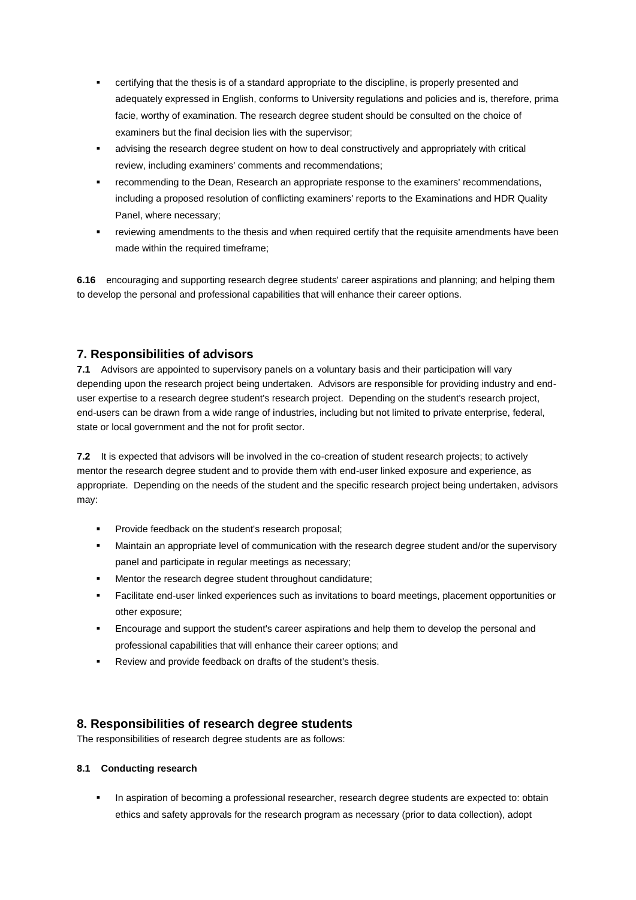- certifying that the thesis is of a standard appropriate to the discipline, is properly presented and adequately expressed in English, conforms to University regulations and policies and is, therefore, prima facie, worthy of examination. The research degree student should be consulted on the choice of examiners but the final decision lies with the supervisor;
- advising the research degree student on how to deal constructively and appropriately with critical review, including examiners' comments and recommendations;
- recommending to the Dean, Research an appropriate response to the examiners' recommendations, including a proposed resolution of conflicting examiners' reports to the Examinations and HDR Quality Panel, where necessary;
- reviewing amendments to the thesis and when required certify that the requisite amendments have been made within the required timeframe;

**6.16** encouraging and supporting research degree students' career aspirations and planning; and helping them to develop the personal and professional capabilities that will enhance their career options.

# **7. Responsibilities of advisors**

**7.1** Advisors are appointed to supervisory panels on a voluntary basis and their participation will vary depending upon the research project being undertaken. Advisors are responsible for providing industry and enduser expertise to a research degree student's research project. Depending on the student's research project, end-users can be drawn from a wide range of industries, including but not limited to private enterprise, federal, state or local government and the not for profit sector.

**7.2** It is expected that advisors will be involved in the co-creation of student research projects; to actively mentor the research degree student and to provide them with end-user linked exposure and experience, as appropriate. Depending on the needs of the student and the specific research project being undertaken, advisors may:

- Provide feedback on the student's research proposal;
- Maintain an appropriate level of communication with the research degree student and/or the supervisory panel and participate in regular meetings as necessary;
- Mentor the research degree student throughout candidature;
- Facilitate end-user linked experiences such as invitations to board meetings, placement opportunities or other exposure;
- Encourage and support the student's career aspirations and help them to develop the personal and professional capabilities that will enhance their career options; and
- Review and provide feedback on drafts of the student's thesis.

# **8. Responsibilities of research degree students**

The responsibilities of research degree students are as follows:

#### **8.1 Conducting research**

 In aspiration of becoming a professional researcher, research degree students are expected to: obtain ethics and safety approvals for the research program as necessary (prior to data collection), adopt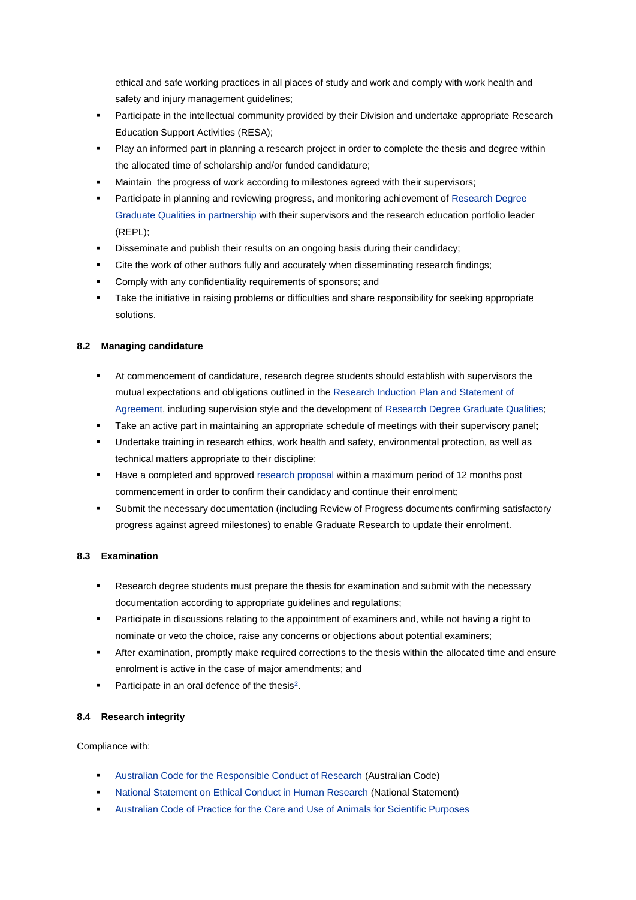ethical and safe working practices in all places of study and work and comply with work health and safety and injury management guidelines;

- **Participate in the intellectual community provided by their Division and undertake appropriate Research** Education Support Activities (RESA);
- Play an informed part in planning a research project in order to complete the thesis and degree within the allocated time of scholarship and/or funded candidature;
- Maintain the progress of work according to milestones agreed with their supervisors;
- Participate in planning and reviewing progress, and monitoring achievement o[f Research Degree](http://www.unisa.edu.au/researchstudents/responsibilities/rdgq.asp)  [Graduate Qualities](http://www.unisa.edu.au/researchstudents/responsibilities/rdgq.asp) in partnership with their supervisors and the research education portfolio leader (REPL);
- Disseminate and publish their results on an ongoing basis during their candidacy;
- Cite the work of other authors fully and accurately when disseminating research findings;
- Comply with any confidentiality requirements of sponsors; and
- Take the initiative in raising problems or difficulties and share responsibility for seeking appropriate solutions.

### **8.2 Managing candidature**

- At commencement of candidature, research degree students should establish with supervisors the mutual expectations and obligations outlined in the [Research Induction Plan and Statement of](http://www.unisa.edu.au/researchstudents/milestones/statementagreement.asp)  [Agreement,](http://www.unisa.edu.au/researchstudents/milestones/statementagreement.asp) including supervision style and the development o[f Research Degree Graduate Qualities;](http://w3.unisa.edu.au/researchstudents/responsibilities/rdgq.asp)
- Take an active part in maintaining an appropriate schedule of meetings with their supervisory panel;
- Undertake training in research ethics, work health and safety, environmental protection, as well as technical matters appropriate to their discipline;
- Have a completed and approve[d research proposal](http://www.unisa.edu.au/researchstudents/milestones/researchproposal.asp) within a maximum period of 12 months post commencement in order to confirm their candidacy and continue their enrolment;
- Submit the necessary documentation (including Review of Progress documents confirming satisfactory progress against agreed milestones) to enable Graduate Research to update their enrolment.

#### **8.3 Examination**

- Research degree students must prepare the thesis for examination and submit with the necessary documentation according to appropriate guidelines and regulations;
- **Participate in discussions relating to the appointment of examiners and, while not having a right to** nominate or veto the choice, raise any concerns or objections about potential examiners;
- After examination, promptly make required corrections to the thesis within the allocated time and ensure enrolment is active in the case of major amendments; and
- Participate in an oral defence of the the[s](http://www.newdev.unisa.edu.au/policies/codes/goodprac/mansupvising.asp#2footer)is<sup>2</sup>.

#### **8.4 Research integrity**

Compliance with:

- [Australian Code for the Responsible Conduct of Research](http://www.nhmrc.gov.au/guidelines/publications/r39) (Australian Code)
- [National Statement on Ethical Conduct in Human Research](http://www.nhmrc.gov.au/guidelines/publications/e72) (National Statement)
- [Australian Code of Practice for the Care and Use of Animals for Scientific Purposes](http://www.nhmrc.gov.au/_files_nhmrc/file/publications/synopses/ea16.pdf)